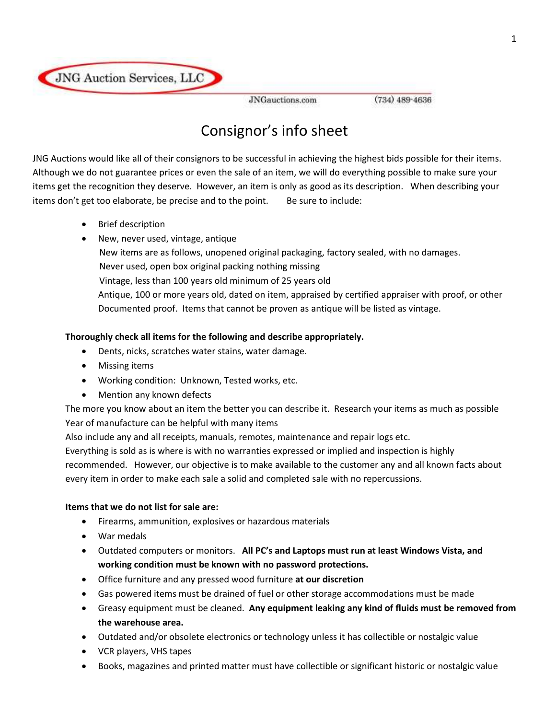

JNGauctions.com

 $(734)$   $489 - 4636$ 

# Consignor's info sheet

JNG Auctions would like all of their consignors to be successful in achieving the highest bids possible for their items. Although we do not guarantee prices or even the sale of an item, we will do everything possible to make sure your items get the recognition they deserve. However, an item is only as good as its description. When describing your items don't get too elaborate, be precise and to the point. Be sure to include:

- Brief description
- New, never used, vintage, antique New items are as follows, unopened original packaging, factory sealed, with no damages. Never used, open box original packing nothing missing Vintage, less than 100 years old minimum of 25 years old Antique, 100 or more years old, dated on item, appraised by certified appraiser with proof, or other Documented proof. Items that cannot be proven as antique will be listed as vintage.

## **Thoroughly check all items for the following and describe appropriately.**

- Dents, nicks, scratches water stains, water damage.
- Missing items
- Working condition: Unknown, Tested works, etc.
- Mention any known defects

The more you know about an item the better you can describe it. Research your items as much as possible Year of manufacture can be helpful with many items

Also include any and all receipts, manuals, remotes, maintenance and repair logs etc.

Everything is sold as is where is with no warranties expressed or implied and inspection is highly

recommended. However, our objective is to make available to the customer any and all known facts about every item in order to make each sale a solid and completed sale with no repercussions.

## **Items that we do not list for sale are:**

- Firearms, ammunition, explosives or hazardous materials
- War medals
- Outdated computers or monitors. **All PC's and Laptops must run at least Windows Vista, and working condition must be known with no password protections.**
- Office furniture and any pressed wood furniture **at our discretion**
- Gas powered items must be drained of fuel or other storage accommodations must be made
- Greasy equipment must be cleaned. **Any equipment leaking any kind of fluids must be removed from the warehouse area.**
- Outdated and/or obsolete electronics or technology unless it has collectible or nostalgic value
- VCR players, VHS tapes
- Books, magazines and printed matter must have collectible or significant historic or nostalgic value